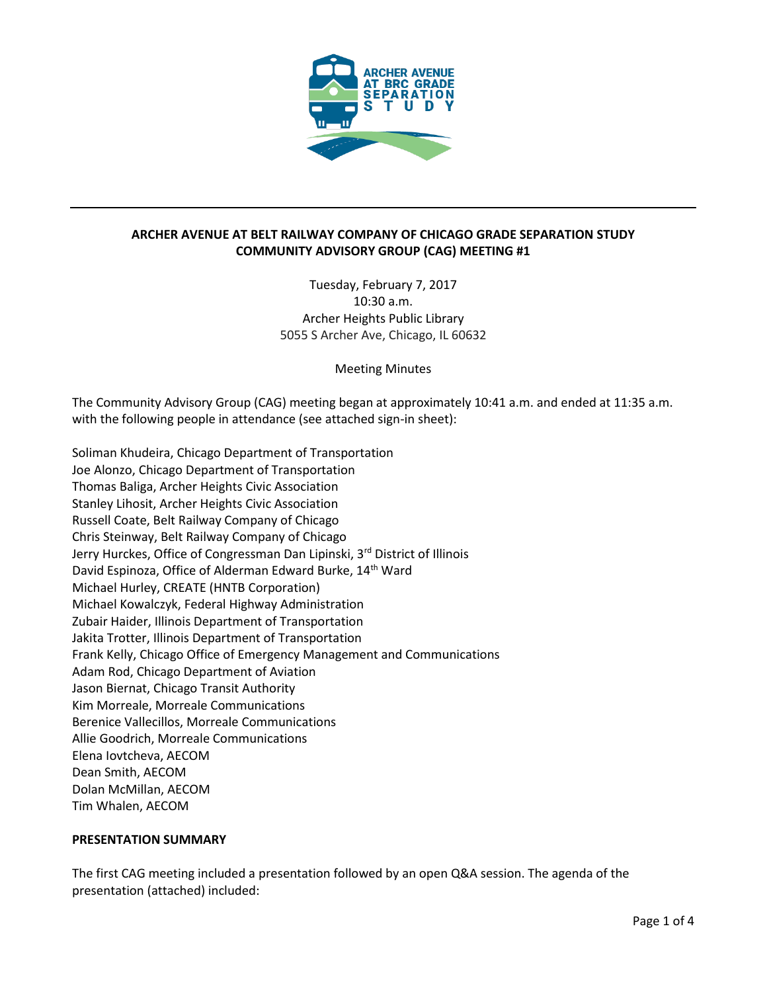

# **ARCHER AVENUE AT BELT RAILWAY COMPANY OF CHICAGO GRADE SEPARATION STUDY COMMUNITY ADVISORY GROUP (CAG) MEETING #1**

Tuesday, February 7, 2017 10:30 a.m. Archer Heights Public Library 5055 S Archer Ave, Chicago, IL 60632

Meeting Minutes

The Community Advisory Group (CAG) meeting began at approximately 10:41 a.m. and ended at 11:35 a.m. with the following people in attendance (see attached sign-in sheet):

Soliman Khudeira, Chicago Department of Transportation Joe Alonzo, Chicago Department of Transportation Thomas Baliga, Archer Heights Civic Association Stanley Lihosit, Archer Heights Civic Association Russell Coate, Belt Railway Company of Chicago Chris Steinway, Belt Railway Company of Chicago Jerry Hurckes, Office of Congressman Dan Lipinski, 3<sup>rd</sup> District of Illinois David Espinoza, Office of Alderman Edward Burke, 14<sup>th</sup> Ward Michael Hurley, CREATE (HNTB Corporation) Michael Kowalczyk, Federal Highway Administration Zubair Haider, Illinois Department of Transportation Jakita Trotter, Illinois Department of Transportation Frank Kelly, Chicago Office of Emergency Management and Communications Adam Rod, Chicago Department of Aviation Jason Biernat, Chicago Transit Authority Kim Morreale, Morreale Communications Berenice Vallecillos, Morreale Communications Allie Goodrich, Morreale Communications Elena Iovtcheva, AECOM Dean Smith, AECOM Dolan McMillan, AECOM Tim Whalen, AECOM

# **PRESENTATION SUMMARY**

The first CAG meeting included a presentation followed by an open Q&A session. The agenda of the presentation (attached) included: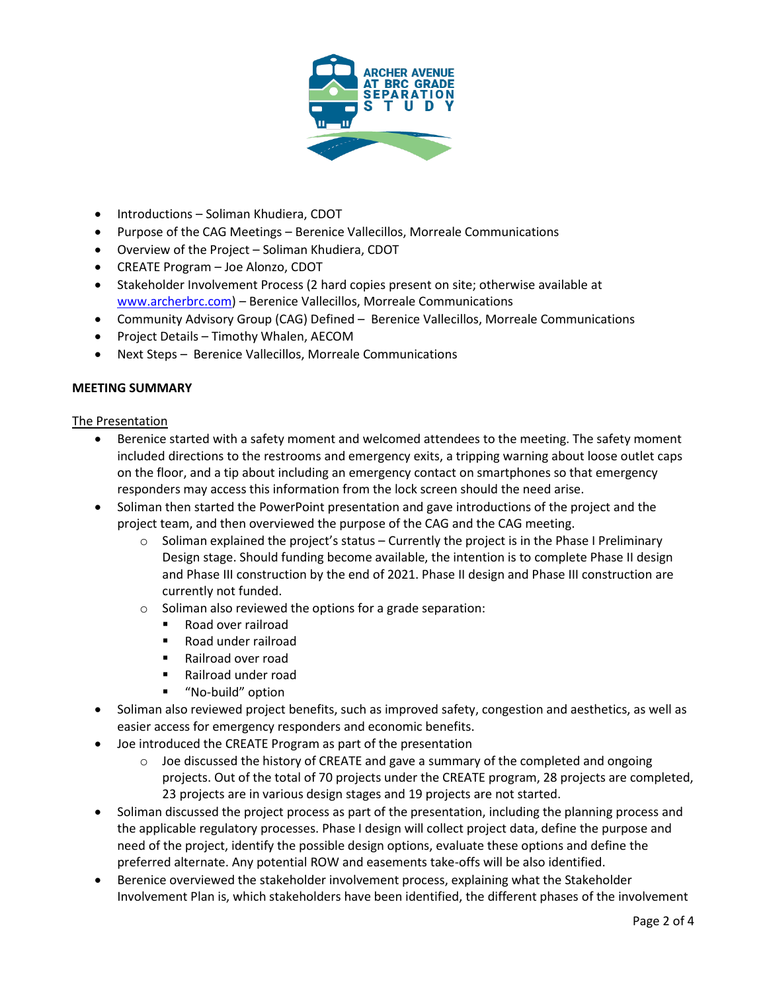

- Introductions Soliman Khudiera, CDOT
- Purpose of the CAG Meetings Berenice Vallecillos, Morreale Communications
- Overview of the Project Soliman Khudiera, CDOT
- CREATE Program Joe Alonzo, CDOT
- Stakeholder Involvement Process (2 hard copies present on site; otherwise available at [www.archerbrc.com\)](http://www.archerbrc.com/) - Berenice Vallecillos, Morreale Communications
- Community Advisory Group (CAG) Defined Berenice Vallecillos, Morreale Communications
- Project Details Timothy Whalen, AECOM
- Next Steps Berenice Vallecillos, Morreale Communications

# **MEETING SUMMARY**

#### The Presentation

- Berenice started with a safety moment and welcomed attendees to the meeting. The safety moment included directions to the restrooms and emergency exits, a tripping warning about loose outlet caps on the floor, and a tip about including an emergency contact on smartphones so that emergency responders may access this information from the lock screen should the need arise.
- Soliman then started the PowerPoint presentation and gave introductions of the project and the project team, and then overviewed the purpose of the CAG and the CAG meeting.
	- $\circ$  Soliman explained the project's status Currently the project is in the Phase I Preliminary Design stage. Should funding become available, the intention is to complete Phase II design and Phase III construction by the end of 2021. Phase II design and Phase III construction are currently not funded.
	- o Soliman also reviewed the options for a grade separation:
		- Road over railroad
		- Road under railroad
		- Railroad over road
		- Railroad under road
		- **"** "No-build" option
- Soliman also reviewed project benefits, such as improved safety, congestion and aesthetics, as well as easier access for emergency responders and economic benefits.
- Joe introduced the CREATE Program as part of the presentation
	- $\circ$  Joe discussed the history of CREATE and gave a summary of the completed and ongoing projects. Out of the total of 70 projects under the CREATE program, 28 projects are completed, 23 projects are in various design stages and 19 projects are not started.
- Soliman discussed the project process as part of the presentation, including the planning process and the applicable regulatory processes. Phase I design will collect project data, define the purpose and need of the project, identify the possible design options, evaluate these options and define the preferred alternate. Any potential ROW and easements take-offs will be also identified.
- Berenice overviewed the stakeholder involvement process, explaining what the Stakeholder Involvement Plan is, which stakeholders have been identified, the different phases of the involvement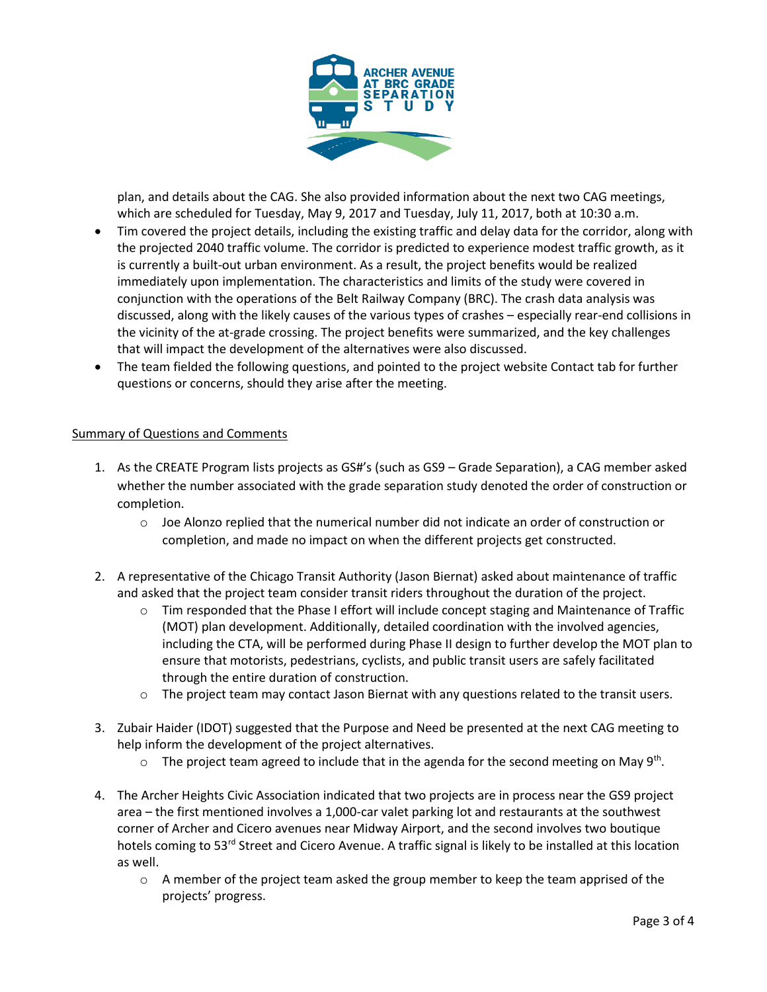

plan, and details about the CAG. She also provided information about the next two CAG meetings, which are scheduled for Tuesday, May 9, 2017 and Tuesday, July 11, 2017, both at 10:30 a.m.

- Tim covered the project details, including the existing traffic and delay data for the corridor, along with the projected 2040 traffic volume. The corridor is predicted to experience modest traffic growth, as it is currently a built-out urban environment. As a result, the project benefits would be realized immediately upon implementation. The characteristics and limits of the study were covered in conjunction with the operations of the Belt Railway Company (BRC). The crash data analysis was discussed, along with the likely causes of the various types of crashes – especially rear-end collisions in the vicinity of the at-grade crossing. The project benefits were summarized, and the key challenges that will impact the development of the alternatives were also discussed.
- The team fielded the following questions, and pointed to the project website Contact tab for further questions or concerns, should they arise after the meeting.

# Summary of Questions and Comments

- 1. As the CREATE Program lists projects as GS#'s (such as GS9 Grade Separation), a CAG member asked whether the number associated with the grade separation study denoted the order of construction or completion.
	- o Joe Alonzo replied that the numerical number did not indicate an order of construction or completion, and made no impact on when the different projects get constructed.
- 2. A representative of the Chicago Transit Authority (Jason Biernat) asked about maintenance of traffic and asked that the project team consider transit riders throughout the duration of the project.
	- $\circ$  Tim responded that the Phase I effort will include concept staging and Maintenance of Traffic (MOT) plan development. Additionally, detailed coordination with the involved agencies, including the CTA, will be performed during Phase II design to further develop the MOT plan to ensure that motorists, pedestrians, cyclists, and public transit users are safely facilitated through the entire duration of construction.
	- $\circ$  The project team may contact Jason Biernat with any questions related to the transit users.
- 3. Zubair Haider (IDOT) suggested that the Purpose and Need be presented at the next CAG meeting to help inform the development of the project alternatives.
	- $\circ$  The project team agreed to include that in the agenda for the second meeting on May 9<sup>th</sup>.
- 4. The Archer Heights Civic Association indicated that two projects are in process near the GS9 project area – the first mentioned involves a 1,000-car valet parking lot and restaurants at the southwest corner of Archer and Cicero avenues near Midway Airport, and the second involves two boutique hotels coming to 53<sup>rd</sup> Street and Cicero Avenue. A traffic signal is likely to be installed at this location as well.
	- $\circ$  A member of the project team asked the group member to keep the team apprised of the projects' progress.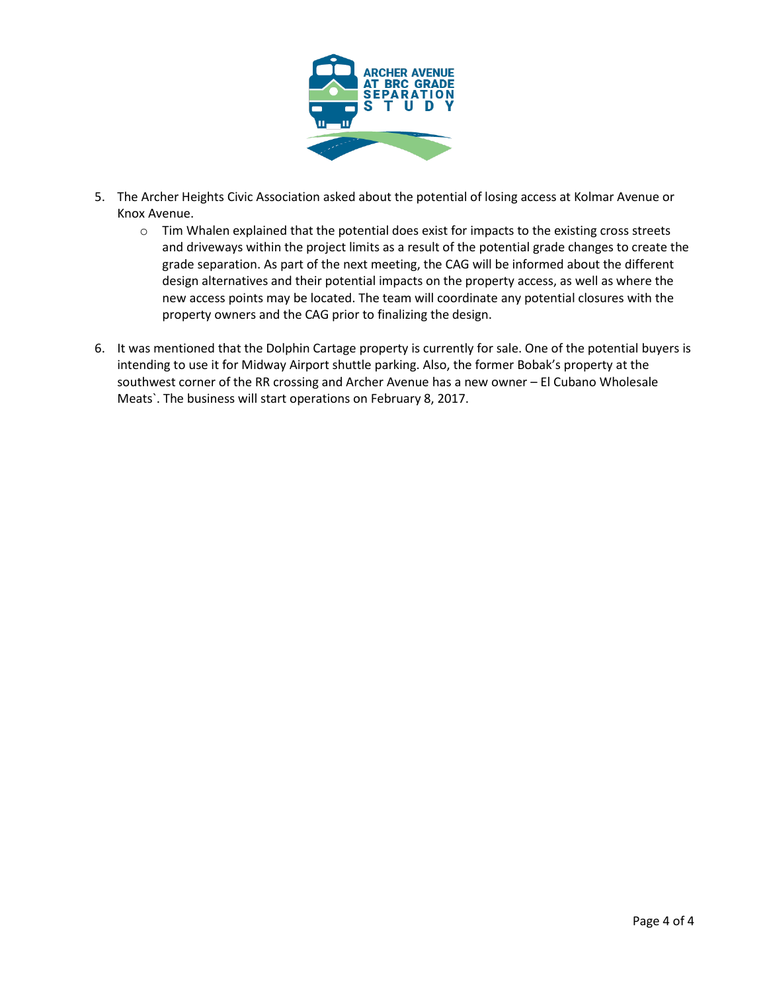

- 5. The Archer Heights Civic Association asked about the potential of losing access at Kolmar Avenue or Knox Avenue.
	- o Tim Whalen explained that the potential does exist for impacts to the existing cross streets and driveways within the project limits as a result of the potential grade changes to create the grade separation. As part of the next meeting, the CAG will be informed about the different design alternatives and their potential impacts on the property access, as well as where the new access points may be located. The team will coordinate any potential closures with the property owners and the CAG prior to finalizing the design.
- 6. It was mentioned that the Dolphin Cartage property is currently for sale. One of the potential buyers is intending to use it for Midway Airport shuttle parking. Also, the former Bobak's property at the southwest corner of the RR crossing and Archer Avenue has a new owner – El Cubano Wholesale Meats`. The business will start operations on February 8, 2017.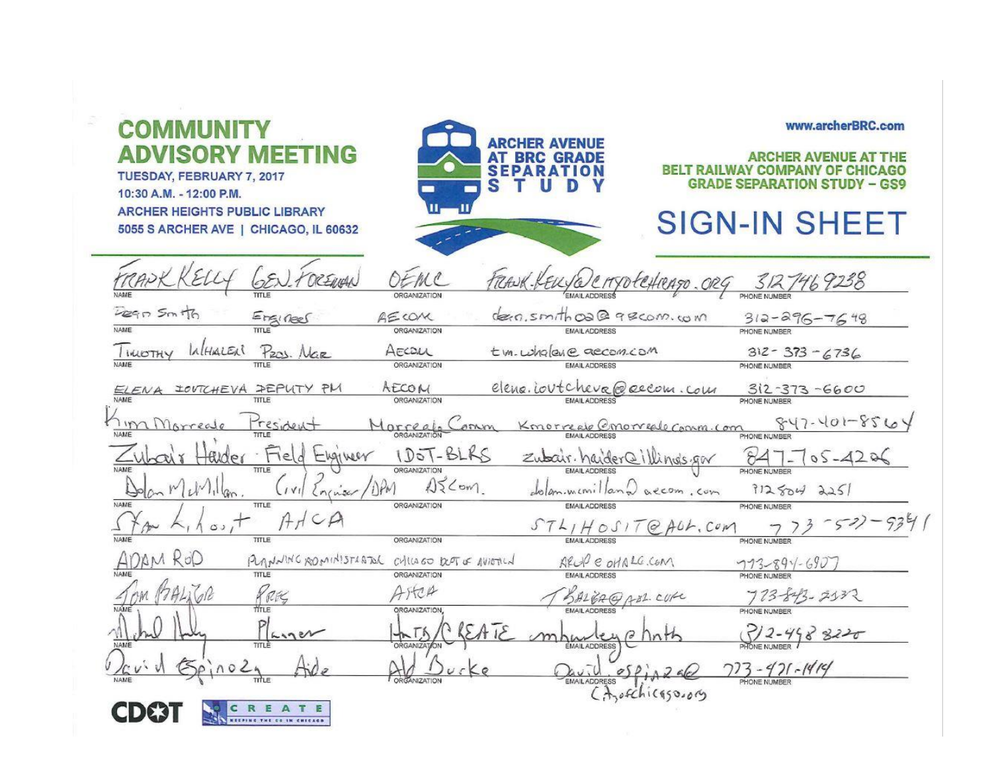| <b>COMMUNITY</b><br><b>VISORY MEETING</b><br>TUESDAY, FEBRUARY 7, 2017<br>10:30 A.M. - 12:00 P.M.<br><b>ARCHER HEIGHTS PUBLIC LIBRARY</b><br>5055 S ARCHER AVE   CHICAGO, IL 60632 | АТ<br>SE<br>S                                                        | ARCHER AVENUE<br><b>BRC GRA</b>                      | www.archerBRC.com<br>HER AVENUE AT<br><b>RAILWAY CO</b><br><b>GRADE SEPARATION STUDY - GS9</b><br><b>SIGN-IN SHEE</b> |
|------------------------------------------------------------------------------------------------------------------------------------------------------------------------------------|----------------------------------------------------------------------|------------------------------------------------------|-----------------------------------------------------------------------------------------------------------------------|
| Legn Smith                                                                                                                                                                         | ORGANIZATION                                                         | FRANK-REUSE CHYDECHRAGO.ORG 3127469238               |                                                                                                                       |
| Engineer                                                                                                                                                                           | AECOM<br><b>ORGANIZATION</b>                                         | dern, smith oa @ 98 com. com<br><b>EMAIL ADDRESS</b> | $312 - 296 - 7648$<br>PHONE NUMBER                                                                                    |
| LAHALER<br>TIMOTHY<br>P201. Nar                                                                                                                                                    | AECOUL                                                               | t m. wholene accom.com                               | $312 - 373 - 6736$                                                                                                    |
|                                                                                                                                                                                    | <b>ORGANIZATION</b>                                                  | <b>EMAIL ADDRESS</b>                                 | PHONE NUMBER                                                                                                          |
| IOUTCHEVA PEPUTY PM<br>NAME<br>TITLE                                                                                                                                               | AECOM<br><b>ORGANIZATION</b>                                         | elene. ioutcheve@eecom. com<br><b>EMAIL ADDRESS</b>  | $312 - 373 - 6600$<br>PHONE NUMBER                                                                                    |
| Tim Morreale<br>Tresident                                                                                                                                                          | Morreals<br>envir                                                    | Kmorreale Cmorreale Comm. Com                        | $847 - 401 - 8564$<br>PHONE NUMBE                                                                                     |
| Elgineer<br>tarder<br>Held                                                                                                                                                         | IDOT-BLRS                                                            | Zubair. haider@illing's.gov                          | 84<br>$05 - 4206$                                                                                                     |
| Engriser/DPM<br>$2^{N}$ llan.                                                                                                                                                      | ORGANIZATION<br>$15$ Com                                             | dolammentillana accom.com                            | PHONE NUMBER<br>$912504$ 225                                                                                          |
| NAME<br>TITLE<br>A H C A<br>$\circ$ , +                                                                                                                                            | <b>ORGANIZATION</b>                                                  | <b>EMAIL ADDRESS</b><br>$STL_1HOT1TQAD.$             | PHONE NUMBER                                                                                                          |
|                                                                                                                                                                                    | <b>ORGANIZATION</b>                                                  |                                                      | PHONE NUMBER                                                                                                          |
| ADAM ROD<br>TITLE                                                                                                                                                                  | PUMMUNIC ROMINISTARTOR CHILLED DOT OF AVIORIN<br><b>ORGANIZATION</b> | ARUP e OHALG.COM<br><b>EMAIL ADDRESS</b>             | $773 - 894 - 690$<br>PHONE NLIMBER                                                                                    |
| OM PALIGR<br>KRES                                                                                                                                                                  | Aster                                                                | SALGA@ABL.CUR                                        | 723-843-2132                                                                                                          |
|                                                                                                                                                                                    | <b>ORGANIZATION</b><br>$R_{\text{A}I}$                               | EMAIL ADDRESS<br>$\theta$                            | PHONE NUMBER<br>312-448 8220                                                                                          |
|                                                                                                                                                                                    |                                                                      | EMAILADDRESS                                         |                                                                                                                       |
| 50,002                                                                                                                                                                             | <b>ORGANIZATION</b>                                                  | OSD<br><b>EMAIL ADDRESS</b>                          | $773 - 971 - 1979$                                                                                                    |
| CREATE<br>CDE31                                                                                                                                                                    |                                                                      | (Aroschicago.org                                     |                                                                                                                       |